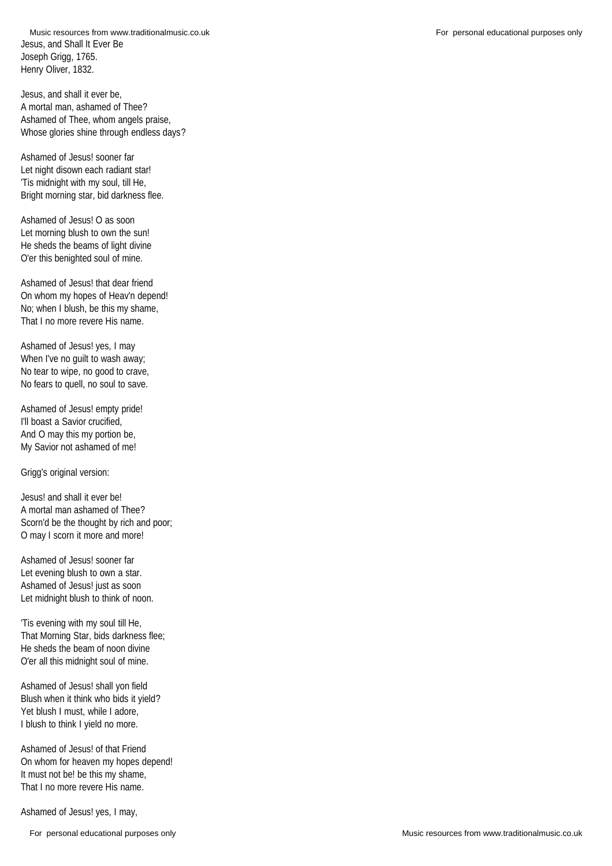Jesus, and Shall It Ever Be Joseph Grigg, 1765. Henry Oliver, 1832. Music resources from www.traditionalmusic.co.uk **For personal educational purposes only** For personal educational purposes only

Jesus, and shall it ever be, A mortal man, ashamed of Thee? Ashamed of Thee, whom angels praise, Whose glories shine through endless days?

Ashamed of Jesus! sooner far Let night disown each radiant star! 'Tis midnight with my soul, till He, Bright morning star, bid darkness flee.

Ashamed of Jesus! O as soon Let morning blush to own the sun! He sheds the beams of light divine O'er this benighted soul of mine.

Ashamed of Jesus! that dear friend On whom my hopes of Heav'n depend! No; when I blush, be this my shame, That I no more revere His name.

Ashamed of Jesus! yes, I may When I've no guilt to wash away; No tear to wipe, no good to crave, No fears to quell, no soul to save.

Ashamed of Jesus! empty pride! I'll boast a Savior crucified, And O may this my portion be, My Savior not ashamed of me!

Grigg's original version:

Jesus! and shall it ever be! A mortal man ashamed of Thee? Scorn'd be the thought by rich and poor; O may I scorn it more and more!

Ashamed of Jesus! sooner far Let evening blush to own a star. Ashamed of Jesus! just as soon Let midnight blush to think of noon.

'Tis evening with my soul till He, That Morning Star, bids darkness flee; He sheds the beam of noon divine O'er all this midnight soul of mine.

Ashamed of Jesus! shall yon field Blush when it think who bids it yield? Yet blush I must, while I adore, I blush to think I yield no more.

Ashamed of Jesus! of that Friend On whom for heaven my hopes depend! It must not be! be this my shame, That I no more revere His name.

Ashamed of Jesus! yes, I may,